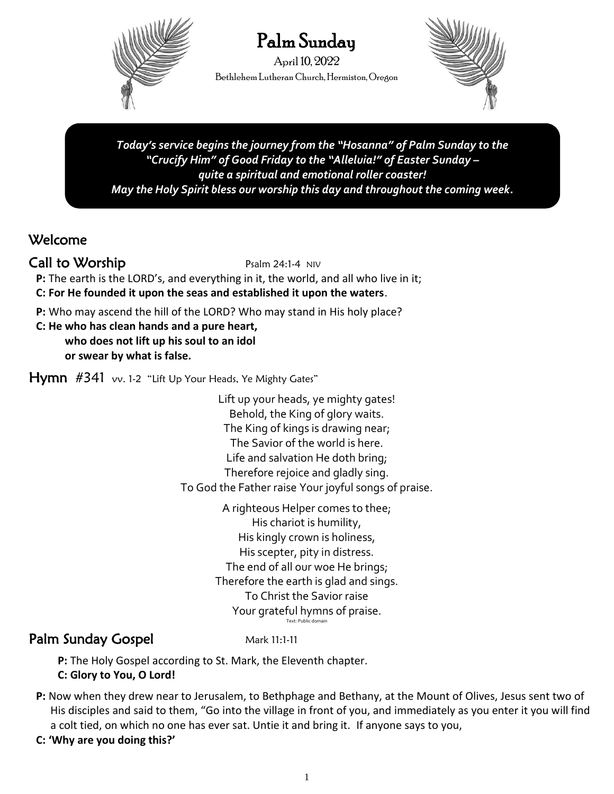

# Palm Sunday

April 10, 2022 BethlehemLutheran Church, Hermiston, Oregon



*Today's service begins the journey from the "Hosanna" of Palm Sunday to the "Crucify Him" of Good Friday to the "Alleluia!" of Easter Sunday – quite a spiritual and emotional roller coaster! May the Holy Spirit bless our worship this day and throughout the coming week.*

# Welcome

# $Call$  to Worship  $P<sub>salm</sub>$  24:1-4 NIV

**P:** The earth is the LORD's, and everything in it, the world, and all who live in it; **C: For He founded it upon the seas and established it upon the waters**.

**P:** Who may ascend the hill of the LORD? Who may stand in His holy place?

**C: He who has clean hands and a pure heart,** 

**who does not lift up his soul to an idol or swear by what is false.** 

**Hymn**  $#341$  vv. 1-2 "Lift Up Your Heads, Ye Mighty Gates"

Lift up your heads, ye mighty gates! Behold, the King of glory waits. The King of kings is drawing near; The Savior of the world is here. Life and salvation He doth bring; Therefore rejoice and gladly sing. To God the Father raise Your joyful songs of praise.

> A righteous Helper comes to thee; His chariot is humility, His kingly crown is holiness, His scepter, pity in distress. The end of all our woe He brings; Therefore the earth is glad and sings. To Christ the Savior raise Your grateful hymns of praise. Text: Public domain

# Palm Sunday Gospel Mark 11:1-11

**P:** The Holy Gospel according to St. Mark, the Eleventh chapter.

**C: Glory to You, O Lord!**

**P:** Now when they drew near to Jerusalem, to Bethphage and Bethany, at the Mount of Olives, Jesus sent two of His disciples and said to them, "Go into the village in front of you, and immediately as you enter it you will find a colt tied, on which no one has ever sat. Untie it and bring it. If anyone says to you,

# **C: 'Why are you doing this?'**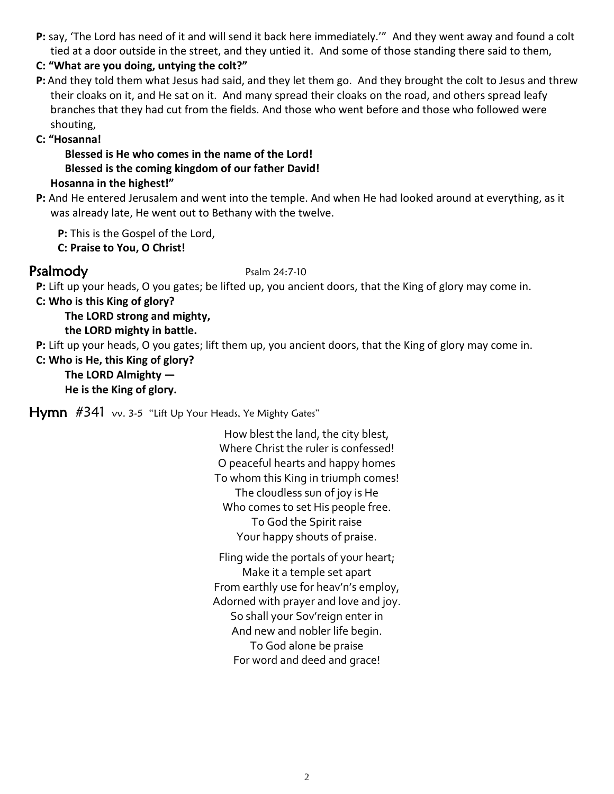**P:** say, 'The Lord has need of it and will send it back here immediately.'" And they went away and found a colt tied at a door outside in the street, and they untied it. And some of those standing there said to them,

### **C: "What are you doing, untying the colt?"**

**P:** And they told them what Jesus had said, and they let them go. And they brought the colt to Jesus and threw their cloaks on it, and He sat on it. And many spread their cloaks on the road, and others spread leafy branches that they had cut from the fields. And those who went before and those who followed were shouting,

### **C: "Hosanna!**

**Blessed is He who comes in the name of the Lord! Blessed is the coming kingdom of our father David! Hosanna in the highest!"**

**P:** And He entered Jerusalem and went into the temple. And when He had looked around at everything, as it was already late, He went out to Bethany with the twelve.

**P:** This is the Gospel of the Lord,

**C: Praise to You, O Christ!**

### Psalmody Psalm 24:7-10

**P:** Lift up your heads, O you gates; be lifted up, you ancient doors, that the King of glory may come in.

**C: Who is this King of glory?**

**The LORD strong and mighty,** 

**the LORD mighty in battle.**

**P:** Lift up your heads, O you gates; lift them up, you ancient doors, that the King of glory may come in.

### **C: Who is He, this King of glory? The LORD Almighty — He is the King of glory.**

**Hymn**  $#341$  vv. 3-5 "Lift Up Your Heads, Ye Mighty Gates"

How blest the land, the city blest, Where Christ the ruler is confessed! O peaceful hearts and happy homes To whom this King in triumph comes! The cloudless sun of joy is He Who comes to set His people free. To God the Spirit raise Your happy shouts of praise.

Fling wide the portals of your heart; Make it a temple set apart From earthly use for heav'n's employ, Adorned with prayer and love and joy. So shall your Sov'reign enter in And new and nobler life begin. To God alone be praise For word and deed and grace!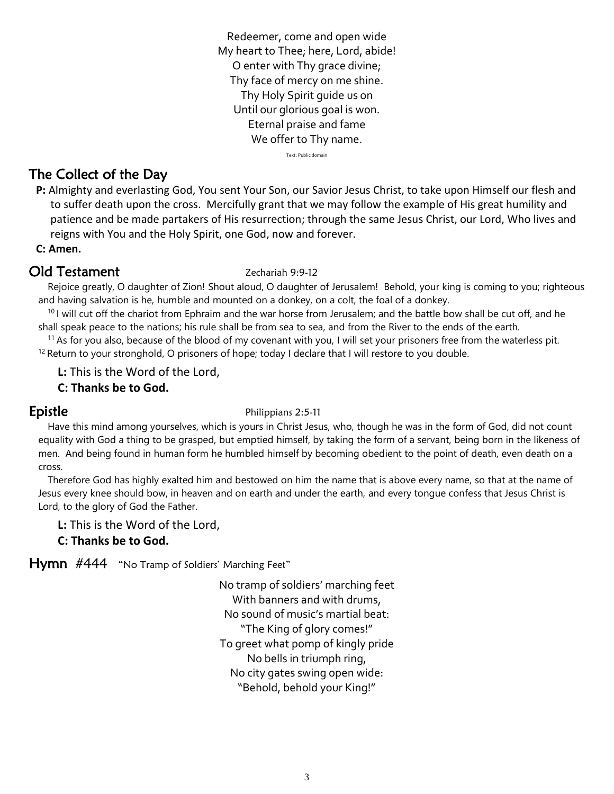Redeemer, come and open wide My heart to Thee; here, Lord, abide! O enter with Thy grace divine; Thy face of mercy on me shine. Thy Holy Spirit guide us on Until our glorious goal is won. Eternal praise and fame We offer to Thy name.

Text: Public domain

# The Collect of the Day

**P:** Almighty and everlasting God, You sent Your Son, our Savior Jesus Christ, to take upon Himself our flesh and to suffer death upon the cross. Mercifully grant that we may follow the example of His great humility and patience and be made partakers of His resurrection; through the same Jesus Christ, our Lord, Who lives and reigns with You and the Holy Spirit, one God, now and forever.

### **C: Amen.**

# Old Testament Zechariah 9:9-12

Rejoice greatly, O daughter of Zion! Shout aloud, O daughter of Jerusalem! Behold, your king is coming to you; righteous and having salvation is he, humble and mounted on a donkey, on a colt, the foal of a donkey.

 $10$  I will cut off the chariot from Ephraim and the war horse from Jerusalem; and the battle bow shall be cut off, and he shall speak peace to the nations; his rule shall be from sea to sea, and from the River to the ends of the earth.

 $<sup>11</sup>$  As for you also, because of the blood of my covenant with you, I will set your prisoners free from the waterless pit.</sup>  $12$  Return to your stronghold, O prisoners of hope; today I declare that I will restore to you double.

**L:** This is the Word of the Lord,

### **C: Thanks be to God.**

### **Epistle** Philippians 2:5-11

Have this mind among yourselves, which is yours in Christ Jesus, who, though he was in the form of God, did not count equality with God a thing to be grasped, but emptied himself, by taking the form of a servant, being born in the likeness of men. And being found in human form he humbled himself by becoming obedient to the point of death, even death on a cross.

Therefore God has highly exalted him and bestowed on him the name that is above every name, so that at the name of Jesus every knee should bow, in heaven and on earth and under the earth, and every tongue confess that Jesus Christ is Lord, to the glory of God the Father.

**L:** This is the Word of the Lord,

### **C: Thanks be to God.**

Hymn #444 "No Tramp of Soldiers' Marching Feet"

No tramp of soldiers' marching feet With banners and with drums, No sound of music's martial beat: "The King of glory comes!" To greet what pomp of kingly pride No bells in triumph ring, No city gates swing open wide: "Behold, behold your King!"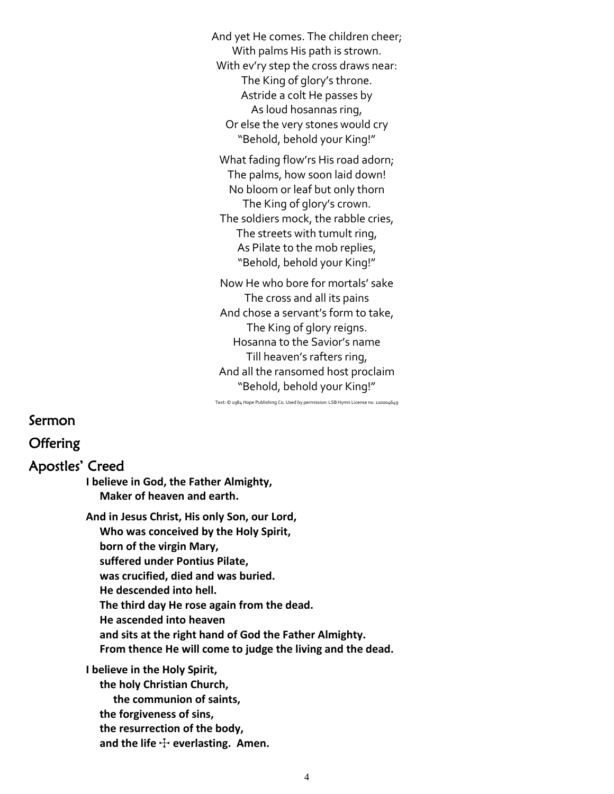And yet He comes. The children cheer; With palms His path is strown. With ev'ry step the cross draws near: The King of glory's throne. Astride a colt He passes by As loud hosannas ring, Or else the very stones would cry "Behold, behold your King!"

What fading flow'rs His road adorn; The palms, how soon laid down! No bloom or leaf but only thorn The King of glory's crown. The soldiers mock, the rabble cries, The streets with tumult ring, As Pilate to the mob replies, "Behold, behold your King!"

Now He who bore for mortals' sake The cross and all its pains And chose a servant's form to take, The King of glory reigns. Hosanna to the Savior's name Till heaven's rafters ring, And all the ransomed host proclaim "Behold, behold your King!"

Text: © 1984 Hope Publishing Co. Used by permission: LSB Hymn License no. 110004649

Sermon **Offering** Apostles' Creed **I believe in God, the Father Almighty, Maker of heaven and earth. And in Jesus Christ, His only Son, our Lord, Who was conceived by the Holy Spirit, born of the virgin Mary, suffered under Pontius Pilate, was crucified, died and was buried. He descended into hell. The third day He rose again from the dead. He ascended into heaven and sits at the right hand of God the Father Almighty. From thence He will come to judge the living and the dead. I believe in the Holy Spirit, the holy Christian Church, the communion of saints, the forgiveness of sins, the resurrection of the body,**

and the life  $+$  everlasting. Amen.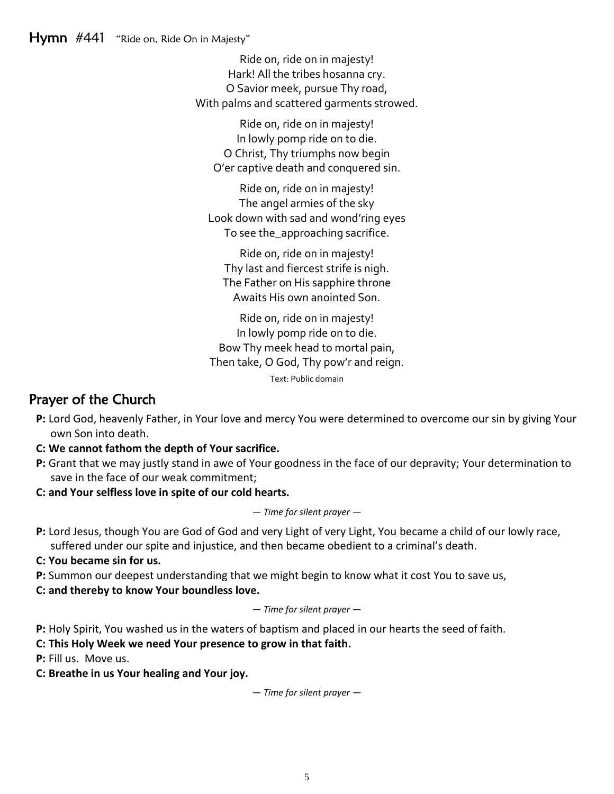Ride on, ride on in majesty! Hark! All the tribes hosanna cry. O Savior meek, pursue Thy road, With palms and scattered garments strowed.

Ride on, ride on in majesty! In lowly pomp ride on to die. O Christ, Thy triumphs now begin O'er captive death and conquered sin.

Ride on, ride on in majesty! The angel armies of the sky Look down with sad and wond'ring eyes To see the approaching sacrifice.

Ride on, ride on in majesty! Thy last and fiercest strife is nigh. The Father on His sapphire throne Awaits His own anointed Son.

Ride on, ride on in majesty! In lowly pomp ride on to die. Bow Thy meek head to mortal pain, Then take, O God, Thy pow'r and reign.

Text: Public domain

# Prayer of the Church

- **P:** Lord God, heavenly Father, in Your love and mercy You were determined to overcome our sin by giving Your own Son into death.
- **C: We cannot fathom the depth of Your sacrifice.**
- **P:** Grant that we may justly stand in awe of Your goodness in the face of our depravity; Your determination to save in the face of our weak commitment;
- **C: and Your selfless love in spite of our cold hearts.**

*— Time for silent prayer —*

- **P:** Lord Jesus, though You are God of God and very Light of very Light, You became a child of our lowly race, suffered under our spite and injustice, and then became obedient to a criminal's death.
- **C: You became sin for us.**
- **P:** Summon our deepest understanding that we might begin to know what it cost You to save us,

**C: and thereby to know Your boundless love.**

*— Time for silent prayer —*

**P:** Holy Spirit, You washed us in the waters of baptism and placed in our hearts the seed of faith.

**C: This Holy Week we need Your presence to grow in that faith.**

**P:** Fill us. Move us.

**C: Breathe in us Your healing and Your joy.**

*— Time for silent prayer —*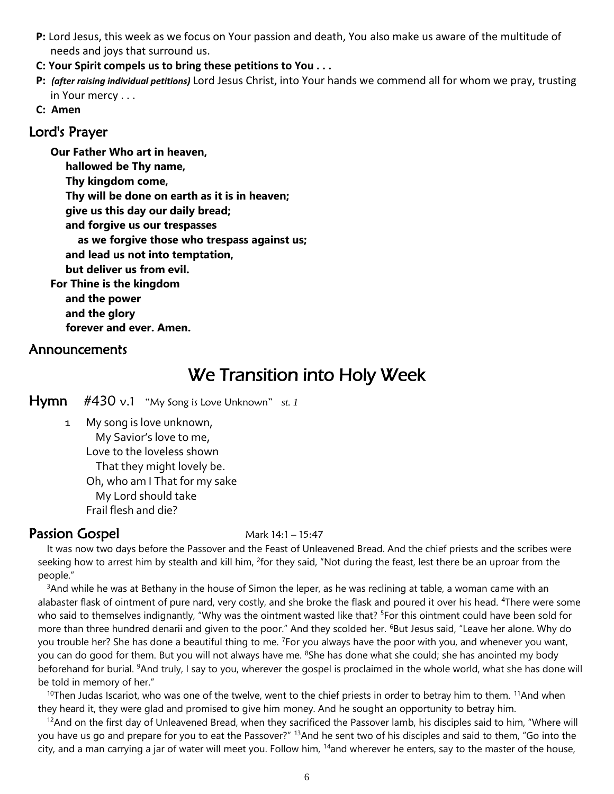- **P:** Lord Jesus, this week as we focus on Your passion and death, You also make us aware of the multitude of needs and joys that surround us.
- **C: Your Spirit compels us to bring these petitions to You . . .**
- **P:** *(after raising individual petitions)* Lord Jesus Christ, into Your hands we commend all for whom we pray, trusting in Your mercy . . .
- **C: Amen**

### Lord's Prayer

**Our Father Who art in heaven, hallowed be Thy name, Thy kingdom come, Thy will be done on earth as it is in heaven; give us this day our daily bread; and forgive us our trespasses as we forgive those who trespass against us; and lead us not into temptation, but deliver us from evil. For Thine is the kingdom and the power and the glory forever and ever. Amen.**

### Announcements

# We Transition into Holy Week

Hymn #430 v.1 "My Song is Love Unknown" *st. 1*

1 My song is love unknown, My Savior's love to me, Love to the loveless shown That they might lovely be. Oh, who am I That for my sake My Lord should take Frail flesh and die?

# **Passion Gospel Mark 14:1 – 15:47**

It was now two days before the Passover and the Feast of Unleavened Bread. And the chief priests and the scribes were seeking how to arrest him by stealth and kill him, <sup>2</sup>for they said, "Not during the feast, lest there be an uproar from the people."

 $3$ And while he was at Bethany in the house of Simon the leper, as he was reclining at table, a woman came with an alabaster flask of ointment of pure nard, very costly, and she broke the flask and poured it over his head. <sup>4</sup>There were some who said to themselves indignantly, "Why was the ointment wasted like that? <sup>5</sup>For this ointment could have been sold for more than three hundred denarii and given to the poor." And they scolded her. <sup>6</sup>But Jesus said, "Leave her alone. Why do you trouble her? She has done a beautiful thing to me. <sup>7</sup>For you always have the poor with you, and whenever you want, you can do good for them. But you will not always have me. <sup>8</sup>She has done what she could; she has anointed my body beforehand for burial. <sup>9</sup>And truly, I say to you, wherever the gospel is proclaimed in the whole world, what she has done will be told in memory of her."

<sup>10</sup>Then Judas Iscariot, who was one of the twelve, went to the chief priests in order to betray him to them. <sup>11</sup>And when they heard it, they were glad and promised to give him money. And he sought an opportunity to betray him.

 $12$ And on the first day of Unleavened Bread, when they sacrificed the Passover lamb, his disciples said to him, "Where will you have us go and prepare for you to eat the Passover?" <sup>13</sup>And he sent two of his disciples and said to them, "Go into the city, and a man carrying a jar of water will meet you. Follow him, <sup>14</sup>and wherever he enters, say to the master of the house,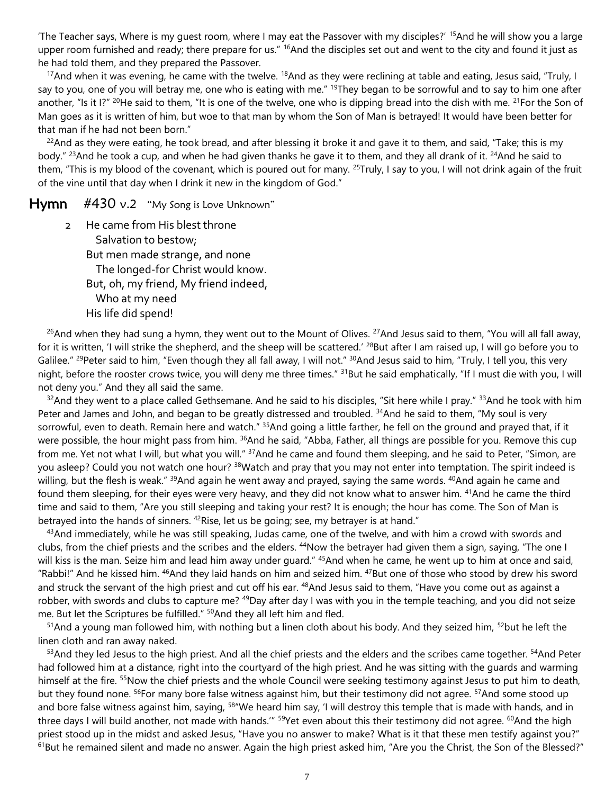'The Teacher says, Where is my guest room, where I may eat the Passover with my disciples?' <sup>15</sup>And he will show you a large upper room furnished and ready; there prepare for us."  $16$ And the disciples set out and went to the city and found it just as he had told them, and they prepared the Passover.

<sup>17</sup>And when it was evening, he came with the twelve. <sup>18</sup>And as they were reclining at table and eating, Jesus said, "Truly, I say to you, one of you will betray me, one who is eating with me." <sup>19</sup>They began to be sorrowful and to say to him one after another, "Is it I?" <sup>20</sup>He said to them, "It is one of the twelve, one who is dipping bread into the dish with me. <sup>21</sup>For the Son of Man goes as it is written of him, but woe to that man by whom the Son of Man is betrayed! It would have been better for that man if he had not been born."

<sup>22</sup>And as they were eating, he took bread, and after blessing it broke it and gave it to them, and said, "Take; this is my body." <sup>23</sup>And he took a cup, and when he had given thanks he gave it to them, and they all drank of it. <sup>24</sup>And he said to them, "This is my blood of the covenant, which is poured out for many. <sup>25</sup>Truly, I say to you, I will not drink again of the fruit of the vine until that day when I drink it new in the kingdom of God."

 $Hymn$  #430 v.2 "My Song is Love Unknown"

2 He came from His blest throne Salvation to bestow; But men made strange, and none The longed-for Christ would know. But, oh, my friend, My friend indeed, Who at my need His life did spend!

 $26$ And when they had sung a hymn, they went out to the Mount of Olives.  $27$ And Jesus said to them, "You will all fall away, for it is written, 'I will strike the shepherd, and the sheep will be scattered.' <sup>28</sup>But after I am raised up, I will go before you to Galilee." <sup>29</sup>Peter said to him, "Even though they all fall away, I will not." <sup>30</sup>And Jesus said to him, "Truly, I tell you, this very night, before the rooster crows twice, you will deny me three times." <sup>31</sup>But he said emphatically, "If I must die with you, I will not deny you." And they all said the same.

 $32$ And they went to a place called Gethsemane. And he said to his disciples, "Sit here while I pray."  $33$ And he took with him Peter and James and John, and began to be greatly distressed and troubled. <sup>34</sup>And he said to them, "My soul is very sorrowful, even to death. Remain here and watch." <sup>35</sup>And going a little farther, he fell on the ground and prayed that, if it were possible, the hour might pass from him. <sup>36</sup>And he said, "Abba, Father, all things are possible for you. Remove this cup from me. Yet not what I will, but what you will." <sup>37</sup>And he came and found them sleeping, and he said to Peter, "Simon, are you asleep? Could you not watch one hour? <sup>38</sup>Watch and pray that you may not enter into temptation. The spirit indeed is willing, but the flesh is weak."  $39$ And again he went away and prayed, saying the same words.  $40$ And again he came and found them sleeping, for their eyes were very heavy, and they did not know what to answer him. <sup>41</sup>And he came the third time and said to them, "Are you still sleeping and taking your rest? It is enough; the hour has come. The Son of Man is betrayed into the hands of sinners.  $42$ Rise, let us be going; see, my betrayer is at hand."

 $43$ And immediately, while he was still speaking, Judas came, one of the twelve, and with him a crowd with swords and clubs, from the chief priests and the scribes and the elders. <sup>44</sup>Now the betrayer had given them a sign, saying, "The one I will kiss is the man. Seize him and lead him away under guard." <sup>45</sup>And when he came, he went up to him at once and said, "Rabbi!" And he kissed him. <sup>46</sup>And they laid hands on him and seized him. <sup>47</sup>But one of those who stood by drew his sword and struck the servant of the high priest and cut off his ear. <sup>48</sup>And Jesus said to them, "Have you come out as against a robber, with swords and clubs to capture me? <sup>49</sup>Day after day I was with you in the temple teaching, and you did not seize me. But let the Scriptures be fulfilled." <sup>50</sup>And they all left him and fled.

 $51$ And a young man followed him, with nothing but a linen cloth about his body. And they seized him,  $52$  but he left the linen cloth and ran away naked.

<sup>53</sup>And they led Jesus to the high priest. And all the chief priests and the elders and the scribes came together. <sup>54</sup>And Peter had followed him at a distance, right into the courtyard of the high priest. And he was sitting with the guards and warming himself at the fire. <sup>55</sup>Now the chief priests and the whole Council were seeking testimony against Jesus to put him to death, but they found none. <sup>56</sup>For many bore false witness against him, but their testimony did not agree. <sup>57</sup>And some stood up and bore false witness against him, saying, <sup>58</sup> We heard him say, 'I will destroy this temple that is made with hands, and in three days I will build another, not made with hands." <sup>59</sup>Yet even about this their testimony did not agree. <sup>60</sup>And the high priest stood up in the midst and asked Jesus, "Have you no answer to make? What is it that these men testify against you?"  $61$ But he remained silent and made no answer. Again the high priest asked him, "Are you the Christ, the Son of the Blessed?"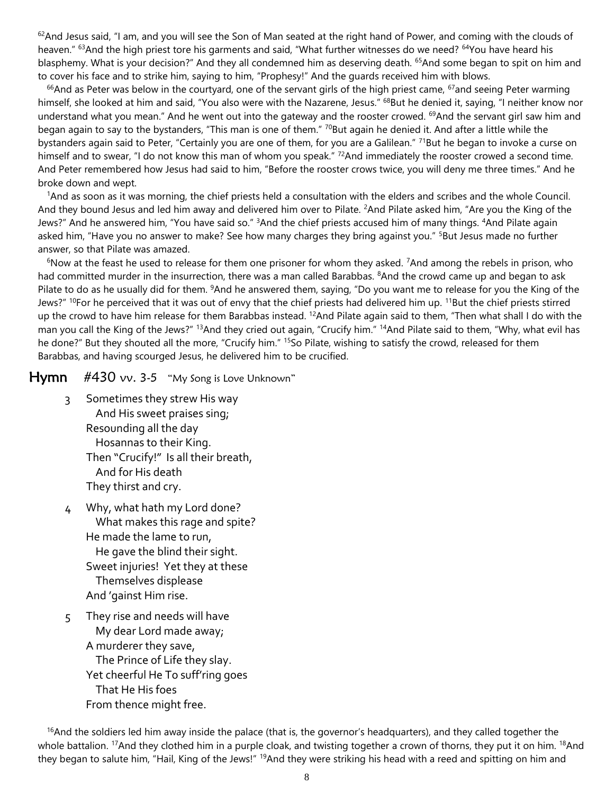$62$ And Jesus said, "I am, and you will see the Son of Man seated at the right hand of Power, and coming with the clouds of heaven." <sup>63</sup>And the high priest tore his garments and said, "What further witnesses do we need? <sup>64</sup>You have heard his blasphemy. What is your decision?" And they all condemned him as deserving death. <sup>65</sup>And some began to spit on him and to cover his face and to strike him, saying to him, "Prophesy!" And the guards received him with blows.

 $66$ And as Peter was below in the courtyard, one of the servant girls of the high priest came,  $67$  and seeing Peter warming himself, she looked at him and said, "You also were with the Nazarene, Jesus." <sup>68</sup>But he denied it, saying, "I neither know nor understand what you mean." And he went out into the gateway and the rooster crowed. <sup>69</sup>And the servant girl saw him and began again to say to the bystanders, "This man is one of them." <sup>70</sup>But again he denied it. And after a little while the bystanders again said to Peter, "Certainly you are one of them, for you are a Galilean." <sup>71</sup>But he began to invoke a curse on himself and to swear, "I do not know this man of whom you speak."  $72$ And immediately the rooster crowed a second time. And Peter remembered how Jesus had said to him, "Before the rooster crows twice, you will deny me three times." And he broke down and wept.

<sup>1</sup>And as soon as it was morning, the chief priests held a consultation with the elders and scribes and the whole Council. And they bound Jesus and led him away and delivered him over to Pilate. <sup>2</sup>And Pilate asked him, "Are you the King of the Jews?" And he answered him, "You have said so." <sup>3</sup>And the chief priests accused him of many things. <sup>4</sup>And Pilate again asked him, "Have you no answer to make? See how many charges they bring against you." <sup>5</sup>But Jesus made no further answer, so that Pilate was amazed.

 $6N$ ow at the feast he used to release for them one prisoner for whom they asked. <sup>7</sup>And among the rebels in prison, who had committed murder in the insurrection, there was a man called Barabbas. <sup>8</sup>And the crowd came up and began to ask Pilate to do as he usually did for them. <sup>9</sup>And he answered them, saying, "Do you want me to release for you the King of the Jews?" <sup>10</sup>For he perceived that it was out of envy that the chief priests had delivered him up. <sup>11</sup>But the chief priests stirred up the crowd to have him release for them Barabbas instead. <sup>12</sup>And Pilate again said to them, "Then what shall I do with the man you call the King of the Jews?" <sup>13</sup>And they cried out again, "Crucify him." <sup>14</sup>And Pilate said to them, "Why, what evil has he done?" But they shouted all the more, "Crucify him." <sup>15</sup>So Pilate, wishing to satisfy the crowd, released for them Barabbas, and having scourged Jesus, he delivered him to be crucified.

### **Hymn**  $\#430$  vv. 3-5 "My Song is Love Unknown"

- 3 Sometimes they strew His way And His sweet praises sing; Resounding all the day Hosannas to their King. Then "Crucify!" Is all their breath, And for His death They thirst and cry.
- 4 Why, what hath my Lord done? What makes this rage and spite? He made the lame to run, He gave the blind their sight. Sweet injuries! Yet they at these Themselves displease And 'gainst Him rise.
- 5 They rise and needs will have My dear Lord made away; A murderer they save, The Prince of Life they slay. Yet cheerful He To suff'ring goes That He His foes From thence might free.

 $16$ And the soldiers led him away inside the palace (that is, the governor's headquarters), and they called together the whole battalion. <sup>17</sup>And they clothed him in a purple cloak, and twisting together a crown of thorns, they put it on him. <sup>18</sup>And they began to salute him, "Hail, King of the Jews!" <sup>19</sup>And they were striking his head with a reed and spitting on him and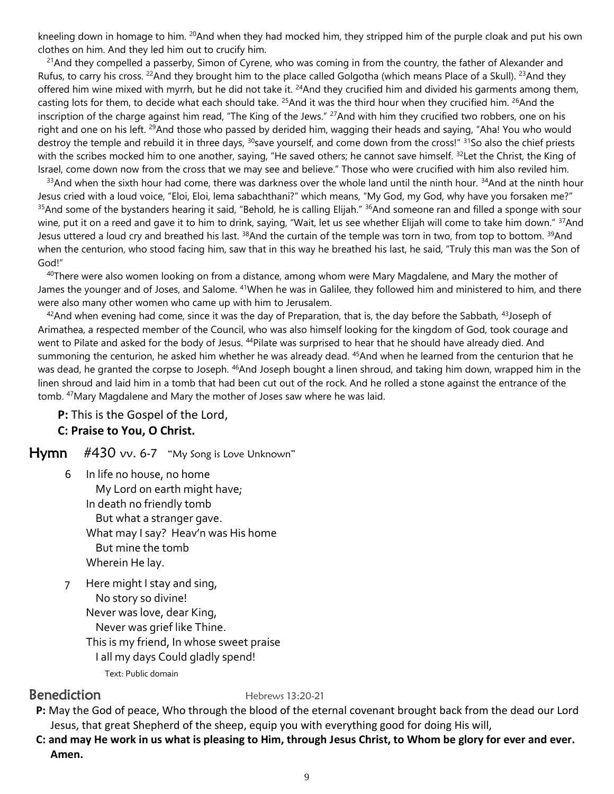kneeling down in homage to him. <sup>20</sup>And when they had mocked him, they stripped him of the purple cloak and put his own clothes on him. And they led him out to crucify him.

 $^{21}$ And they compelled a passerby, Simon of Cyrene, who was coming in from the country, the father of Alexander and Rufus, to carry his cross. <sup>22</sup>And they brought him to the place called Golgotha (which means Place of a Skull). <sup>23</sup>And they offered him wine mixed with myrrh, but he did not take it. <sup>24</sup>And they crucified him and divided his garments among them, casting lots for them, to decide what each should take.  $^{25}$ And it was the third hour when they crucified him.  $^{26}$ And the inscription of the charge against him read, "The King of the Jews." <sup>27</sup>And with him they crucified two robbers, one on his right and one on his left. <sup>29</sup>And those who passed by derided him, wagging their heads and saying, "Aha! You who would destroy the temple and rebuild it in three days, <sup>30</sup>save yourself, and come down from the cross!" <sup>31</sup>So also the chief priests with the scribes mocked him to one another, saying, "He saved others; he cannot save himself. <sup>32</sup>Let the Christ, the King of Israel, come down now from the cross that we may see and believe." Those who were crucified with him also reviled him.

 $33$ And when the sixth hour had come, there was darkness over the whole land until the ninth hour.  $34$ And at the ninth hour Jesus cried with a loud voice, "Eloi, Eloi, lema sabachthani?" which means, "My God, my God, why have you forsaken me?" <sup>35</sup>And some of the bystanders hearing it said, "Behold, he is calling Elijah." <sup>36</sup>And someone ran and filled a sponge with sour wine, put it on a reed and gave it to him to drink, saying, "Wait, let us see whether Elijah will come to take him down." <sup>37</sup>And Jesus uttered a loud cry and breathed his last. <sup>38</sup>And the curtain of the temple was torn in two, from top to bottom. <sup>39</sup>And when the centurion, who stood facing him, saw that in this way he breathed his last, he said, "Truly this man was the Son of God!"

<sup>40</sup>There were also women looking on from a distance, among whom were Mary Magdalene, and Mary the mother of James the younger and of Joses, and Salome. <sup>41</sup>When he was in Galilee, they followed him and ministered to him, and there were also many other women who came up with him to Jerusalem.

 $42$ And when evening had come, since it was the day of Preparation, that is, the day before the Sabbath,  $43$ Joseph of Arimathea, a respected member of the Council, who was also himself looking for the kingdom of God, took courage and went to Pilate and asked for the body of Jesus. <sup>44</sup>Pilate was surprised to hear that he should have already died. And summoning the centurion, he asked him whether he was already dead. <sup>45</sup>And when he learned from the centurion that he was dead, he granted the corpse to Joseph. <sup>46</sup>And Joseph bought a linen shroud, and taking him down, wrapped him in the linen shroud and laid him in a tomb that had been cut out of the rock. And he rolled a stone against the entrance of the tomb. <sup>47</sup>Mary Magdalene and Mary the mother of Joses saw where he was laid.

**P:** This is the Gospel of the Lord, **C: Praise to You, O Christ.**

Hymn #430 vv. 6-7 "My Song is Love Unknown"

- 6 In life no house, no home My Lord on earth might have; In death no friendly tomb But what a stranger gave. What may I say? Heav'n was His home But mine the tomb Wherein He lay.
- 7 Here might I stay and sing, No story so divine! Never was love, dear King, Never was grief like Thine. This is my friend, In whose sweet praise I all my days Could gladly spend!

### Text: Public domain

**Benediction** Hebrews 13:20-21

- **P:** May the God of peace, Who through the blood of the eternal covenant brought back from the dead our Lord Jesus, that great Shepherd of the sheep, equip you with everything good for doing His will,
- **C: and may He work in us what is pleasing to Him, through Jesus Christ, to Whom be glory for ever and ever. Amen.**